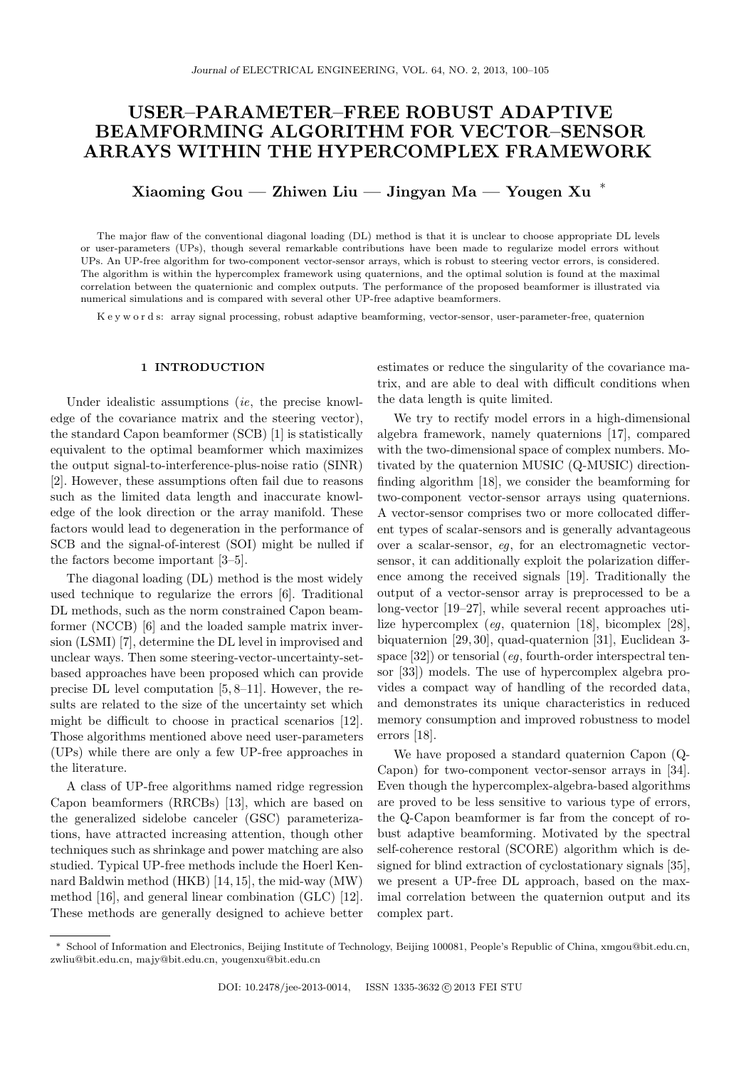# USER–PARAMETER–FREE ROBUST ADAPTIVE BEAMFORMING ALGORITHM FOR VECTOR–SENSOR ARRAYS WITHIN THE HYPERCOMPLEX FRAMEWORK

Xiaoming Gou — Zhiwen Liu — Jingyan Ma — Yougen Xu

The major flaw of the conventional diagonal loading (DL) method is that it is unclear to choose appropriate DL levels or user-parameters (UPs), though several remarkable contributions have been made to regularize model errors without UPs. An UP-free algorithm for two-component vector-sensor arrays, which is robust to steering vector errors, is considered. The algorithm is within the hypercomplex framework using quaternions, and the optimal solution is found at the maximal correlation between the quaternionic and complex outputs. The performance of the proposed beamformer is illustrated via numerical simulations and is compared with several other UP-free adaptive beamformers.

K e y w o r d s: array signal processing, robust adaptive beamforming, vector-sensor, user-parameter-free, quaternion

## 1 INTRODUCTION

Under idealistic assumptions *(ie, the precise knowl*edge of the covariance matrix and the steering vector), the standard Capon beamformer (SCB) [1] is statistically equivalent to the optimal beamformer which maximizes the output signal-to-interference-plus-noise ratio (SINR) [2]. However, these assumptions often fail due to reasons such as the limited data length and inaccurate knowledge of the look direction or the array manifold. These factors would lead to degeneration in the performance of SCB and the signal-of-interest (SOI) might be nulled if the factors become important [3–5].

The diagonal loading (DL) method is the most widely used technique to regularize the errors [6]. Traditional DL methods, such as the norm constrained Capon beamformer (NCCB) [6] and the loaded sample matrix inversion (LSMI) [7], determine the DL level in improvised and unclear ways. Then some steering-vector-uncertainty-setbased approaches have been proposed which can provide precise DL level computation [5, 8–11]. However, the results are related to the size of the uncertainty set which might be difficult to choose in practical scenarios [12]. Those algorithms mentioned above need user-parameters (UPs) while there are only a few UP-free approaches in the literature.

A class of UP-free algorithms named ridge regression Capon beamformers (RRCBs) [13], which are based on the generalized sidelobe canceler (GSC) parameterizations, have attracted increasing attention, though other techniques such as shrinkage and power matching are also studied. Typical UP-free methods include the Hoerl Kennard Baldwin method (HKB) [14, 15], the mid-way (MW) method [16], and general linear combination (GLC) [12]. These methods are generally designed to achieve better

estimates or reduce the singularity of the covariance matrix, and are able to deal with difficult conditions when the data length is quite limited.

We try to rectify model errors in a high-dimensional algebra framework, namely quaternions [17], compared with the two-dimensional space of complex numbers. Motivated by the quaternion MUSIC (Q-MUSIC) directionfinding algorithm [18], we consider the beamforming for two-component vector-sensor arrays using quaternions. A vector-sensor comprises two or more collocated different types of scalar-sensors and is generally advantageous over a scalar-sensor, eg, for an electromagnetic vectorsensor, it can additionally exploit the polarization difference among the received signals [19]. Traditionally the output of a vector-sensor array is preprocessed to be a long-vector [19–27], while several recent approaches utilize hypercomplex (eg, quaternion [18], bicomplex [28], biquaternion [29, 30], quad-quaternion [31], Euclidean 3 space  $[32]$ ) or tensorial (eg, fourth-order interspectral tensor [33]) models. The use of hypercomplex algebra provides a compact way of handling of the recorded data, and demonstrates its unique characteristics in reduced memory consumption and improved robustness to model errors [18].

We have proposed a standard quaternion Capon (Q-Capon) for two-component vector-sensor arrays in [34]. Even though the hypercomplex-algebra-based algorithms are proved to be less sensitive to various type of errors, the Q-Capon beamformer is far from the concept of robust adaptive beamforming. Motivated by the spectral self-coherence restoral (SCORE) algorithm which is designed for blind extraction of cyclostationary signals [35], we present a UP-free DL approach, based on the maximal correlation between the quaternion output and its complex part.

<sup>∗</sup> School of Information and Electronics, Beijing Institute of Technology, Beijing 100081, People's Republic of China, xmgou@bit.edu.cn, zwliu@bit.edu.cn, majy@bit.edu.cn, yougenxu@bit.edu.cn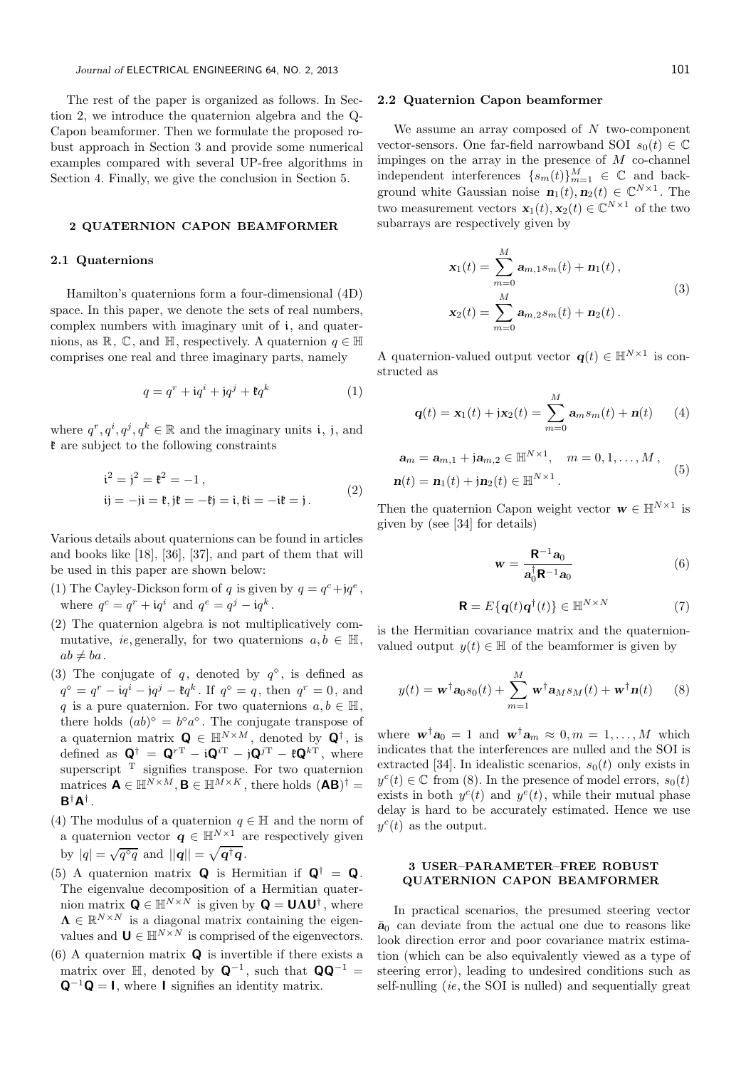The rest of the paper is organized as follows. In Section 2, we introduce the quaternion algebra and the Q-Capon beamformer. Then we formulate the proposed robust approach in Section 3 and provide some numerical examples compared with several UP-free algorithms in Section 4. Finally, we give the conclusion in Section 5.

#### 2 QUATERNION CAPON BEAMFORMER

## 2.1 Quaternions

Hamilton's quaternions form a four-dimensional (4D) space. In this paper, we denote the sets of real numbers, complex numbers with imaginary unit of i, and quaternions, as  $\mathbb{R}, \mathbb{C}$ , and  $\mathbb{H}$ , respectively. A quaternion  $q \in \mathbb{H}$ comprises one real and three imaginary parts, namely

$$
q = q^r + \mathbf{i}q^i + \mathbf{j}q^j + \mathbf{\mathfrak{k}}q^k \tag{1}
$$

where  $q^r, q^i, q^j, q^k \in \mathbb{R}$  and the imaginary units i, j, and  $\mathfrak k$  are subject to the following constraints

$$
i2 = j2 = \mathfrak{k}2 = -1,
$$
  
ij = -ji =  $\mathfrak{k}$ , j $\mathfrak{k}$  = - $\mathfrak{k}$ j = i,  $\mathfrak{k}$ i = -i $\mathfrak{k}$  = j. (2)

Various details about quaternions can be found in articles and books like [18], [36], [37], and part of them that will be used in this paper are shown below:

- (1) The Cayley-Dickson form of q is given by  $q = q^c + *j*q^e$ , where  $q^c = q^r + \mathrm{i}q^i$  and  $q^e = q^j - \mathrm{i}q^k$ .
- (2) The quaternion algebra is not multiplicatively commutative, *ie*, generally, for two quaternions  $a, b \in \mathbb{H}$ ,  $ab \neq ba$ .
- (3) The conjugate of q, denoted by  $q^{\diamond}$ , is defined as  $q^{\diamond} = q^r - iq^i - q^j - \mathfrak{k}q^k$ . If  $q^{\diamond} = q$ , then  $q^r = 0$ , and q is a pure quaternion. For two quaternions  $a, b \in \mathbb{H}$ , there holds  $(ab)^{\diamond} = b^{\diamond}a^{\diamond}$ . The conjugate transpose of a quaternion matrix  $\mathbf{Q} \in \mathbb{H}^{N \times M}$ , denoted by  $\mathbf{Q}^{\dagger}$ , is defined as  $\mathbf{Q}^{\dagger} = \mathbf{Q}^{rT} - i\mathbf{Q}^{iT} - j\mathbf{Q}^{jT} - \mathbf{E}\mathbf{Q}^{kT}$ , where superscript  $T$  signifies transpose. For two quaternion matrices  $\mathbf{A} \in \mathbb{H}^{N \times M}, \mathbf{B} \in \mathbb{H}^{M \times K}$ , there holds  $(\mathbf{A}\mathbf{B})^{\dagger} =$  $B^{\dagger}A^{\dagger}$  .
- (4) The modulus of a quaternion  $q \in \mathbb{H}$  and the norm of a quaternion vector  $\mathbf{q} \in \mathbb{H}^{N \times 1}$  are respectively given by  $|q| = \sqrt{q^{\diamond}q}$  and  $||\mathbf{q}|| = \sqrt{\mathbf{q}^{\dagger}\mathbf{q}}$ .
- (5) A quaternion matrix **Q** is Hermitian if  $Q^{\dagger} = Q$ . The eigenvalue decomposition of a Hermitian quaternion matrix  $\mathbf{Q} \in \mathbb{H}^{N \times N}$  is given by  $\mathbf{Q} = \mathbf{U} \mathbf{\Lambda} \mathbf{U}^{\dagger}$ , where  $\Lambda \in \mathbb{R}^{N \times N}$  is a diagonal matrix containing the eigenvalues and  $\mathbf{U} \in \mathbb{H}^{N \times N}$  is comprised of the eigenvectors.
- (6) A quaternion matrix  $\bf{Q}$  is invertible if there exists a matrix over  $\mathbb{H}$ , denoted by  $\mathbf{Q}^{-1}$ , such that  $\mathbf{Q}\mathbf{Q}^{-1}$  =  $Q^{-1}Q = I$ , where I signifies an identity matrix.

#### 2.2 Quaternion Capon beamformer

We assume an array composed of  $N$  two-component vector-sensors. One far-field narrowband SOI  $s_0(t) \in \mathbb{C}$ impinges on the array in the presence of  $M$  co-channel independent interferences  $\{s_m(t)\}_{m=1}^M \in \mathbb{C}$  and background white Gaussian noise  $\mathbf{n}_1(t), \mathbf{n}_2(t) \in \mathbb{C}^{N \times 1}$ . The two measurement vectors  $\mathbf{x}_1(t), \mathbf{x}_2(t) \in \mathbb{C}^{N \times 1}$  of the two subarrays are respectively given by

$$
\mathbf{x}_{1}(t) = \sum_{m=0}^{M} \mathbf{a}_{m,1} s_{m}(t) + \mathbf{n}_{1}(t),
$$
  

$$
\mathbf{x}_{2}(t) = \sum_{m=0}^{M} \mathbf{a}_{m,2} s_{m}(t) + \mathbf{n}_{2}(t).
$$
 (3)

A quaternion-valued output vector  $q(t) \in \mathbb{H}^{N \times 1}$  is constructed as

$$
\mathbf{q}(t) = \mathbf{x}_1(t) + \mathbf{j}\mathbf{x}_2(t) = \sum_{m=0}^{M} \mathbf{a}_m s_m(t) + \mathbf{n}(t) \qquad (4)
$$

$$
\mathbf{a}_{m} = \mathbf{a}_{m,1} + \mathbf{j}\mathbf{a}_{m,2} \in \mathbb{H}^{N \times 1}, \quad m = 0, 1, ..., M,
$$
  

$$
\mathbf{n}(t) = \mathbf{n}_{1}(t) + \mathbf{j}\mathbf{n}_{2}(t) \in \mathbb{H}^{N \times 1}.
$$
 (5)

Then the quaternion Capon weight vector  $\mathbf{w} \in \mathbb{H}^{N \times 1}$  is given by (see [34] for details)

$$
\mathbf{w} = \frac{\mathbf{R}^{-1}\mathbf{a}_0}{\mathbf{a}_0^{\dagger}\mathbf{R}^{-1}\mathbf{a}_0} \tag{6}
$$

$$
\mathbf{R} = E\{\mathbf{q}(t)\mathbf{q}^{\dagger}(t)\} \in \mathbb{H}^{N \times N}
$$
 (7)

is the Hermitian covariance matrix and the quaternionvalued output  $y(t) \in \mathbb{H}$  of the beamformer is given by

$$
y(t) = \mathbf{w}^{\dagger} \mathbf{a}_0 s_0(t) + \sum_{m=1}^{M} \mathbf{w}^{\dagger} \mathbf{a}_M s_M(t) + \mathbf{w}^{\dagger} \mathbf{n}(t) \qquad (8)
$$

where  $\mathbf{w}^{\dagger} \mathbf{a}_0 = 1$  and  $\mathbf{w}^{\dagger} \mathbf{a}_m \approx 0, m = 1, \ldots, M$  which indicates that the interferences are nulled and the SOI is extracted [34]. In idealistic scenarios,  $s_0(t)$  only exists in  $y^c(t) \in \mathbb{C}$  from (8). In the presence of model errors,  $s_0(t)$ exists in both  $y^c(t)$  and  $y^e(t)$ , while their mutual phase delay is hard to be accurately estimated. Hence we use  $y^c(t)$  as the output.

## 3 USER–PARAMETER–FREE ROBUST QUATERNION CAPON BEAMFORMER

In practical scenarios, the presumed steering vector  $\bar{a}_0$  can deviate from the actual one due to reasons like look direction error and poor covariance matrix estimation (which can be also equivalently viewed as a type of steering error), leading to undesired conditions such as self-nulling (ie, the SOI is nulled) and sequentially great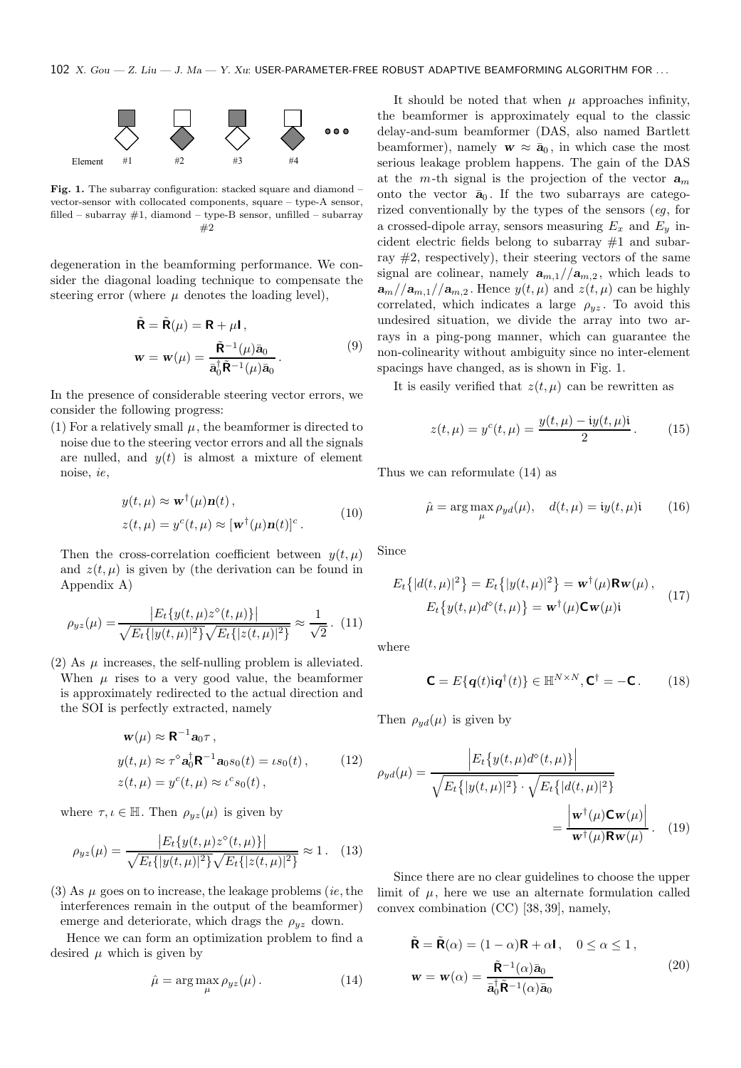

Fig. 1. The subarray configuration: stacked square and diamond – vector-sensor with collocated components, square – type-A sensor, filled – subarray  $#1$ , diamond – type-B sensor, unfilled – subarray #2

degeneration in the beamforming performance. We consider the diagonal loading technique to compensate the steering error (where  $\mu$  denotes the loading level),

$$
\tilde{\mathbf{R}} = \tilde{\mathbf{R}}(\mu) = \mathbf{R} + \mu \mathbf{I},
$$
  

$$
\mathbf{w} = \mathbf{w}(\mu) = \frac{\tilde{\mathbf{R}}^{-1}(\mu)\bar{\mathbf{a}}_0}{\bar{\mathbf{a}}_0^{\dagger} \tilde{\mathbf{R}}^{-1}(\mu)\bar{\mathbf{a}}_0}.
$$
 (9)

In the presence of considerable steering vector errors, we consider the following progress:

(1) For a relatively small  $\mu$ , the beamformer is directed to noise due to the steering vector errors and all the signals are nulled, and  $y(t)$  is almost a mixture of element noise, ie,

$$
y(t,\mu) \approx \mathbf{w}^{\dagger}(\mu)\mathbf{n}(t),
$$
  
 
$$
z(t,\mu) = y^{c}(t,\mu) \approx [\mathbf{w}^{\dagger}(\mu)\mathbf{n}(t)]^{c}.
$$
 (10)

Then the cross-correlation coefficient between  $y(t, \mu)$ and  $z(t, \mu)$  is given by (the derivation can be found in Appendix A)

$$
\rho_{yz}(\mu) = \frac{|E_t\{y(t,\mu)z^{\diamond}(t,\mu)\}|}{\sqrt{E_t\{|y(t,\mu)|^2}\}\sqrt{E_t\{|z(t,\mu)|^2\}}} \approx \frac{1}{\sqrt{2}}. (11)
$$

(2) As  $\mu$  increases, the self-nulling problem is alleviated. When  $\mu$  rises to a very good value, the beamformer is approximately redirected to the actual direction and the SOI is perfectly extracted, namely

$$
\mathbf{w}(\mu) \approx \mathbf{R}^{-1} \mathbf{a}_0 \tau ,
$$
  
\n
$$
y(t, \mu) \approx \tau^{\circ} \mathbf{a}_0^{\dagger} \mathbf{R}^{-1} \mathbf{a}_0 s_0(t) = \iota s_0(t) ,
$$
 (12)  
\n
$$
z(t, \mu) = y^c(t, \mu) \approx \iota^c s_0(t) ,
$$

where  $\tau, \iota \in \mathbb{H}$ . Then  $\rho_{uz}(\mu)$  is given by

$$
\rho_{yz}(\mu) = \frac{|E_t\{y(t,\mu)z^{\diamond}(t,\mu)\}|}{\sqrt{E_t\{|y(t,\mu)|^2}\sqrt{E_t\{|z(t,\mu)|^2}\}}} \approx 1. \quad (13)
$$

(3) As  $\mu$  goes on to increase, the leakage problems (*ie*, the interferences remain in the output of the beamformer) emerge and deteriorate, which drags the  $\rho_{yz}$  down.

Hence we can form an optimization problem to find a desired  $\mu$  which is given by

$$
\hat{\mu} = \arg \max_{\mu} \rho_{yz}(\mu). \tag{14}
$$

It should be noted that when  $\mu$  approaches infinity, the beamformer is approximately equal to the classic delay-and-sum beamformer (DAS, also named Bartlett beamformer), namely  $w \approx \bar{a}_0$ , in which case the most serious leakage problem happens. The gain of the DAS at the m-th signal is the projection of the vector  $a_m$ onto the vector  $\bar{a}_0$ . If the two subarrays are categorized conventionally by the types of the sensors (eg, for a crossed-dipole array, sensors measuring  $E_x$  and  $E_y$  incident electric fields belong to subarray #1 and subarray  $\#2$ , respectively), their steering vectors of the same signal are colinear, namely  $a_{m,1}/a_{m,2}$ , which leads to  $a_m/|a_{m,1}|/a_{m,2}$ . Hence  $y(t,\mu)$  and  $z(t,\mu)$  can be highly correlated, which indicates a large  $\rho_{yz}$ . To avoid this undesired situation, we divide the array into two arrays in a ping-pong manner, which can guarantee the non-colinearity without ambiguity since no inter-element spacings have changed, as is shown in Fig. 1.

It is easily verified that  $z(t, \mu)$  can be rewritten as

$$
z(t,\mu) = y^{c}(t,\mu) = \frac{y(t,\mu) - iy(t,\mu)i}{2}.
$$
 (15)

Thus we can reformulate (14) as

$$
\hat{\mu} = \arg \max_{\mu} \rho_{yd}(\mu), \quad d(t, \mu) = \mathrm{i}y(t, \mu)\mathrm{i} \tag{16}
$$

Since

$$
E_t\{|d(t,\mu)|^2\} = E_t\{|y(t,\mu)|^2\} = \mathbf{w}^\dagger(\mu)\mathbf{R}\mathbf{w}(\mu),
$$
  

$$
E_t\{y(t,\mu)d^\diamond(t,\mu)\} = \mathbf{w}^\dagger(\mu)\mathbf{C}\mathbf{w}(\mu)\mathbf{i}
$$
 (17)

where

$$
\mathbf{C} = E\{q(t)iq^{\dagger}(t)\} \in \mathbb{H}^{N \times N}, \mathbf{C}^{\dagger} = -\mathbf{C}.
$$
 (18)

Then  $\rho_{yd}(\mu)$  is given by

$$
\rho_{yd}(\mu) = \frac{\left| E_t \{ y(t, \mu) d^{\circ}(t, \mu) \} \right|}{\sqrt{E_t \{ |y(t, \mu)|^2 \} } \cdot \sqrt{E_t \{ |d(t, \mu)|^2 \} }}
$$

$$
= \frac{\left| \mathbf{w}^{\dagger}(\mu) \mathbf{C} \mathbf{w}(\mu) \right|}{\mathbf{w}^{\dagger}(\mu) \mathbf{R} \mathbf{w}(\mu)} . \quad (19)
$$

Since there are no clear guidelines to choose the upper limit of  $\mu$ , here we use an alternate formulation called convex combination (CC) [38, 39], namely,

$$
\tilde{\mathbf{R}} = \tilde{\mathbf{R}}(\alpha) = (1 - \alpha)\mathbf{R} + \alpha \mathbf{I}, \quad 0 \le \alpha \le 1,
$$
  

$$
\mathbf{w} = \mathbf{w}(\alpha) = \frac{\tilde{\mathbf{R}}^{-1}(\alpha)\bar{\mathbf{a}}_0}{\bar{\mathbf{a}}_0^{\dagger} \tilde{\mathbf{R}}^{-1}(\alpha)\bar{\mathbf{a}}_0}
$$
(20)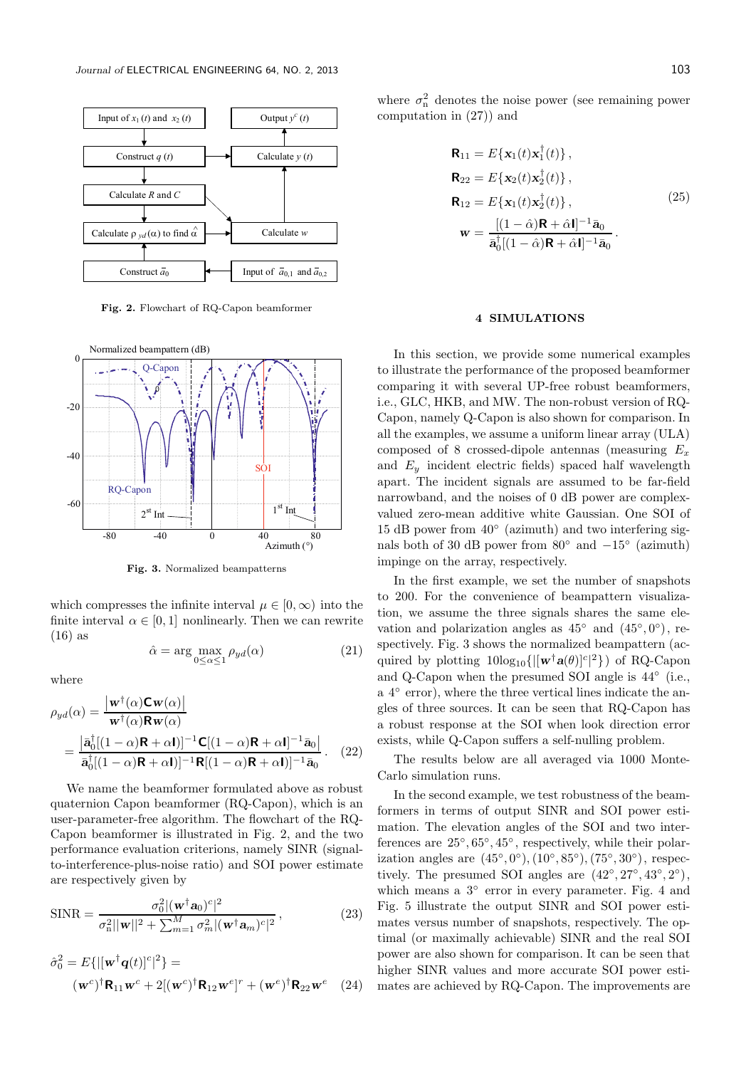

Fig. 2. Flowchart of RQ-Capon beamformer



Fig. 3. Normalized beampatterns

which compresses the infinite interval  $\mu \in [0, \infty)$  into the finite interval  $\alpha \in [0,1]$  nonlinearly. Then we can rewrite (16) as

 $\hat{\alpha} = \arg \max_{0 \leq \alpha \leq 1} \rho_{yd}(\alpha)$ (21)

where

$$
\rho_{yd}(\alpha) = \frac{|\mathbf{w}^{\dagger}(\alpha)\mathbf{C}\mathbf{w}(\alpha)|}{\mathbf{w}^{\dagger}(\alpha)\mathbf{R}\mathbf{w}(\alpha)}
$$
  
= 
$$
\frac{|\bar{\mathbf{a}}_{0}^{\dagger}[(1-\alpha)\mathbf{R}+\alpha\mathbf{I})]^{-1}\mathbf{C}[(1-\alpha)\mathbf{R}+\alpha\mathbf{I}]^{-1}\bar{\mathbf{a}}_{0}|}{\bar{\mathbf{a}}_{0}^{\dagger}[(1-\alpha)\mathbf{R}+\alpha\mathbf{I})]^{-1}\mathbf{R}[(1-\alpha)\mathbf{R}+\alpha\mathbf{I})]^{-1}\bar{\mathbf{a}}_{0}}.
$$
 (22)

We name the beamformer formulated above as robust quaternion Capon beamformer (RQ-Capon), which is an user-parameter-free algorithm. The flowchart of the RQ-Capon beamformer is illustrated in Fig. 2, and the two performance evaluation criterions, namely SINR (signalto-interference-plus-noise ratio) and SOI power estimate are respectively given by

$$
\text{SINR} = \frac{\sigma_0^2 |(\mathbf{w}^\dagger \mathbf{a}_0)^c|^2}{\sigma_n^2 ||\mathbf{w}||^2 + \sum_{m=1}^M \sigma_m^2 |(\mathbf{w}^\dagger \mathbf{a}_m)^c|^2},\tag{23}
$$

$$
\hat{\sigma}_0^2 = E\{ |[\mathbf{w}^\dagger \mathbf{q}(t)]^c|^2 \} =
$$

$$
(\mathbf{w}^c)^\dagger \mathbf{R}_{11} \mathbf{w}^c + 2[(\mathbf{w}^c)^\dagger \mathbf{R}_{12} \mathbf{w}^e]^r + (\mathbf{w}^e)^\dagger \mathbf{R}_{22} \mathbf{w}^e \quad (24)
$$

where  $\sigma_{\rm n}^2$  denotes the noise power (see remaining power computation in (27)) and

$$
\mathbf{R}_{11} = E\{\mathbf{x}_1(t)\mathbf{x}_1^\dagger(t)\},
$$
\n
$$
\mathbf{R}_{22} = E\{\mathbf{x}_2(t)\mathbf{x}_2^\dagger(t)\},
$$
\n
$$
\mathbf{R}_{12} = E\{\mathbf{x}_1(t)\mathbf{x}_2^\dagger(t)\},
$$
\n
$$
\mathbf{w} = \frac{[(1-\hat{\alpha})\mathbf{R} + \hat{\alpha}\mathbf{I}]^{-1}\bar{\mathbf{a}}_0}{\bar{\mathbf{a}}_0^\dagger[(1-\hat{\alpha})\mathbf{R} + \hat{\alpha}\mathbf{I}]^{-1}\bar{\mathbf{a}}_0}.
$$
\n(25)

#### 4 SIMULATIONS

In this section, we provide some numerical examples to illustrate the performance of the proposed beamformer comparing it with several UP-free robust beamformers, i.e., GLC, HKB, and MW. The non-robust version of RQ-Capon, namely Q-Capon is also shown for comparison. In all the examples, we assume a uniform linear array (ULA) composed of 8 crossed-dipole antennas (measuring  $E_x$ and  $E_y$  incident electric fields) spaced half wavelength apart. The incident signals are assumed to be far-field narrowband, and the noises of 0 dB power are complexvalued zero-mean additive white Gaussian. One SOI of 15 dB power from 40◦ (azimuth) and two interfering signals both of 30 dB power from  $80^{\circ}$  and  $-15^{\circ}$  (azimuth) impinge on the array, respectively.

In the first example, we set the number of snapshots to 200. For the convenience of beampattern visualization, we assume the three signals shares the same elevation and polarization angles as  $45^{\circ}$  and  $(45^{\circ}, 0^{\circ})$ , respectively. Fig. 3 shows the normalized beampattern (acquired by plotting  $10\log_{10}\{ |[\mathbf{w}^{\dagger}\mathbf{a}(\theta)]^{c}|^{2} \}$  of RQ-Capon and Q-Capon when the presumed SOI angle is 44◦ (i.e., a 4<sup>°</sup> error), where the three vertical lines indicate the angles of three sources. It can be seen that RQ-Capon has a robust response at the SOI when look direction error exists, while Q-Capon suffers a self-nulling problem.

The results below are all averaged via 1000 Monte-Carlo simulation runs.

In the second example, we test robustness of the beamformers in terms of output SINR and SOI power estimation. The elevation angles of the SOI and two interferences are  $25^{\circ}, 65^{\circ}, 45^{\circ}$ , respectively, while their polarization angles are  $(45^{\circ}, 0^{\circ}), (10^{\circ}, 85^{\circ}), (75^{\circ}, 30^{\circ}),$  respectively. The presumed SOI angles are  $(42^{\circ}, 27^{\circ}, 43^{\circ}, 2^{\circ}),$ which means a  $3°$  error in every parameter. Fig. 4 and Fig. 5 illustrate the output SINR and SOI power estimates versus number of snapshots, respectively. The optimal (or maximally achievable) SINR and the real SOI power are also shown for comparison. It can be seen that higher SINR values and more accurate SOI power estimates are achieved by RQ-Capon. The improvements are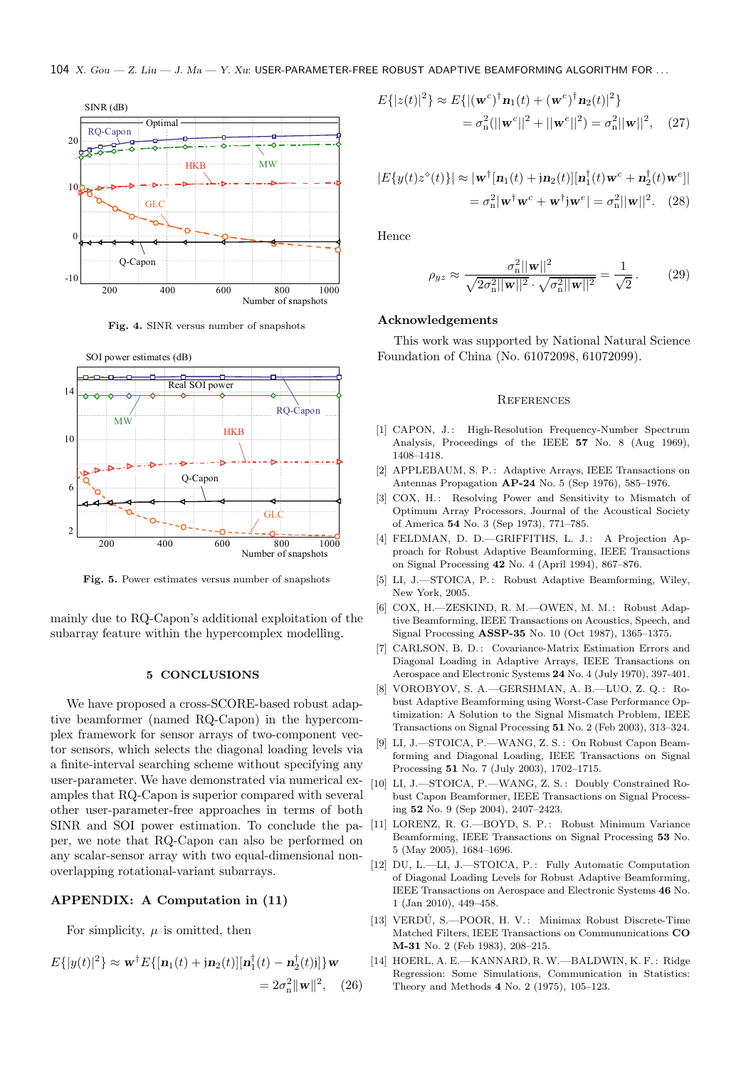

Fig. 4. SINR versus number of snapshots



Fig. 5. Power estimates versus number of snapshots

mainly due to RQ-Capon's additional exploitation of the subarray feature within the hypercomplex modelling.

#### 5 CONCLUSIONS

We have proposed a cross-SCORE-based robust adaptive beamformer (named RQ-Capon) in the hypercomplex framework for sensor arrays of two-component vector sensors, which selects the diagonal loading levels via a finite-interval searching scheme without specifying any user-parameter. We have demonstrated via numerical examples that RQ-Capon is superior compared with several other user-parameter-free approaches in terms of both SINR and SOI power estimation. To conclude the paper, we note that RQ-Capon can also be performed on any scalar-sensor array with two equal-dimensional nonoverlapping rotational-variant subarrays.

### APPENDIX: A Computation in (11)

For simplicity,  $\mu$  is omitted, then

$$
E\{|y(t)|^2\} \approx \mathbf{w}^{\dagger} E\{[\mathbf{n}_1(t) + j\mathbf{n}_2(t)][\mathbf{n}_1^{\dagger}(t) - \mathbf{n}_2^{\dagger}(t)]]\} \mathbf{w}
$$
  
=  $2\sigma_n^2 \|\mathbf{w}\|^2$ , (26)

$$
E\{|z(t)|^2\} \approx E\{|(\mathbf{w}^c)^{\dagger} \mathbf{n}_1(t) + (\mathbf{w}^e)^{\dagger} \mathbf{n}_2(t)|^2\}
$$
  
=  $\sigma_n^2(||\mathbf{w}^c||^2 + ||\mathbf{w}^e||^2) = \sigma_n^2||\mathbf{w}||^2$ , (27)

$$
|E\{y(t)z^{\diamond}(t)\}| \approx |\mathbf{w}^{\dagger}[\mathbf{n}_1(t) + \mathbf{j}\mathbf{n}_2(t)][\mathbf{n}_1^{\dagger}(t)\mathbf{w}^c + \mathbf{n}_2^{\dagger}(t)\mathbf{w}^e]|
$$
  
=  $\sigma_n^2 |\mathbf{w}^{\dagger} \mathbf{w}^c + \mathbf{w}^{\dagger} \mathbf{j}\mathbf{w}^e| = \sigma_n^2 ||\mathbf{w}||^2$ . (28)

Hence

$$
\rho_{yz} \approx \frac{\sigma_{\rm n}^2 ||\mathbf{w}||^2}{\sqrt{2\sigma_{\rm n}^2 ||\mathbf{w}||^2} \cdot \sqrt{\sigma_{\rm n}^2 ||\mathbf{w}||^2}} = \frac{1}{\sqrt{2}}.
$$
 (29)

#### Acknowledgements

This work was supported by National Natural Science Foundation of China (No. 61072098, 61072099).

#### **REFERENCES**

- [1] CAPON, J.: High-Resolution Frequency-Number Spectrum Analysis, Proceedings of the IEEE 57 No. 8 (Aug 1969), 1408–1418.
- [2] APPLEBAUM, S. P.: Adaptive Arrays, IEEE Transactions on Antennas Propagation AP-24 No. 5 (Sep 1976), 585–1976.
- [3] COX, H.: Resolving Power and Sensitivity to Mismatch of Optimum Array Processors, Journal of the Acoustical Society of America 54 No. 3 (Sep 1973), 771–785.
- [4] FELDMAN, D. D.-GRIFFITHS, L. J.: A Projection Approach for Robust Adaptive Beamforming, IEEE Transactions on Signal Processing 42 No. 4 (April 1994), 867–876.
- [5] LI, J.—STOICA, P.: Robust Adaptive Beamforming, Wiley, New York, 2005.
- [6] COX, H.—ZESKIND, R. M.—OWEN, M. M. : Robust Adaptive Beamforming, IEEE Transactions on Acoustics, Speech, and Signal Processing ASSP-35 No. 10 (Oct 1987), 1365–1375.
- [7] CARLSON, B. D.: Covariance-Matrix Estimation Errors and Diagonal Loading in Adaptive Arrays, IEEE Transactions on Aerospace and Electronic Systems 24 No. 4 (July 1970), 397-401.
- [8] VOROBYOV, S. A.—GERSHMAN, A. B.—LUO, Z. Q.: Robust Adaptive Beamforming using Worst-Case Performance Optimization: A Solution to the Signal Mismatch Problem, IEEE Transactions on Signal Processing 51 No. 2 (Feb 2003), 313–324.
- [9] LI, J.—STOICA, P.—WANG, Z. S. : On Robust Capon Beamforming and Diagonal Loading, IEEE Transactions on Signal Processing 51 No. 7 (July 2003), 1702–1715.
- [10] LI, J.-STOICA, P.-WANG, Z. S.: Doubly Constrained Robust Capon Beamformer, IEEE Transactions on Signal Processing 52 No. 9 (Sep 2004), 2407–2423.
- [11] LORENZ, R. G.—BOYD, S. P. : Robust Minimum Variance Beamforming, IEEE Transactions on Signal Processing 53 No. 5 (May 2005), 1684–1696.
- [12] DU, L.-LI, J.-STOICA, P.: Fully Automatic Computation of Diagonal Loading Levels for Robust Adaptive Beamforming, IEEE Transactions on Aerospace and Electronic Systems 46 No. 1 (Jan 2010), 449–458.
- [13] VERDÚ, S.-POOR, H. V.: Minimax Robust Discrete-Time Matched Filters, IEEE Transactions on Commununications CO M-31 No. 2 (Feb 1983), 208–215.
- [14] HOERL, A. E.—KANNARD, R. W.—BALDWIN, K. F.: Ridge Regression: Some Simulations, Communication in Statistics: Theory and Methods 4 No. 2 (1975), 105–123.